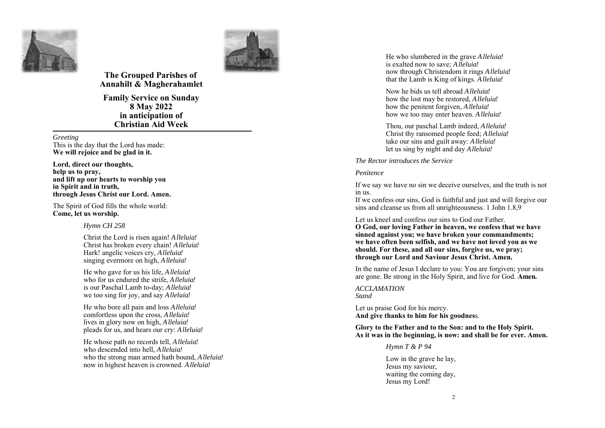



# **The Grouped Parishes of Annahilt & Magherahamlet**

**Family Service on Sunday 8 May 2022 in anticipation of Christian Aid Week** 

*Greeting* 

This is the day that the Lord has made: **We will rejoice and be glad in it.** 

**Lord, direct our thoughts, help us to pray, and lift up our hearts to worship you in Spirit and in truth, through Jesus Christ our Lord. Amen.** 

The Spirit of God fills the whole world: **Come, let us worship.**

### *Hymn CH 258*

Christ the Lord is risen again! *Alleluia!* Christ has broken every chain! *Alleluia!* Hark! angelic voices cry, *Alleluia!*  singing evermore on high, *Alleluia!* 

He who gave for us his life, *Alleluia!* who for us endured the strife, *Alleluia!* is our Paschal Lamb to-day; *Alleluia!* we too sing for joy, and say *Alleluia!*

He who bore all pain and loss *Alleluia!* comfortless upon the cross, *Alleluia!* lives in glory now on high, *Alleluia!* pleads for us, and hears our cry: *Alleluia!* 

He whose path no records tell, *Alleluia!* who descended into hell, *Alleluia!* who the strong man armed hath bound, *Alleluia!* now in highest heaven is crowned. *Alleluia!*

He who slumbered in the grave *Alleluia!* is exalted now to save; *Alleluia!* now through Christendom it rings *Alleluia!*  that the Lamb is King of kings. *Alleluia!*

Now he bids us tell abroad *Alleluia!*how the lost may be restored, *Alleluia!* how the penitent forgiven, *Alleluia!* how we too may enter heaven. *Alleluia!*

Thou, our paschal Lamb indeed, *Alleluia!* Christ thy ransomed people feed; *Alleluia!* take our sins and guilt away: *Alleluia!* let us sing by night and day *Alleluia!*

*The Rector introduces the Service* 

#### *Penitence*

If we say we have no sin we deceive ourselves, and the truth is not in us.

If we confess our sins, God is faithful and just and will forgive our sins and cleanse us from all unrighteousness. 1 John 1.8,9

Let us kneel and confess our sins to God our Father. **O God, our loving Father in heaven, we confess that we have sinned against you; we have broken your commandments; we have often been selfish, and we have not loved you as we should. For these, and all our sins, forgive us, we pray; through our Lord and Saviour Jesus Christ. Amen.**

In the name of Jesus I declare to you: You are forgiven; your sins are gone. Be strong in the Holy Spirit, and live for God. **Amen.**

*ACCLAMATION Stand*

Let us praise God for his mercy. **And give thanks to him for his goodnes**s.

**Glory to the Father and to the Son: and to the Holy Spirit. As it was in the beginning, is now: and shall be for ever. Amen.** 

*Hymn T & P 94* 

Low in the grave he lay, Jesus my saviour, waiting the coming day, Jesus my Lord!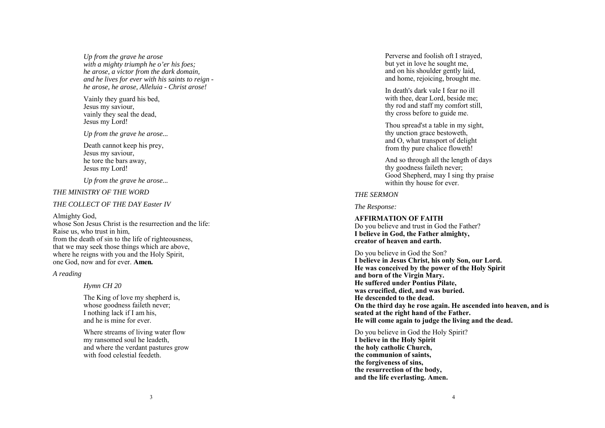*Up from the grave he arose with a mighty triumph he o'er his foes; he arose, a victor from the dark domain, and he lives for ever with his saints to reign he arose, he arose, Alleluia - Christ arose!* 

Vainly they guard his bed, Jesus my saviour, vainly they seal the dead, Jesus my Lord!

*Up from the grave he arose...* 

Death cannot keep his prey, Jesus my saviour, he tore the bars away, Jesus my Lord!

*Up from the grave he arose...* 

### *THE MINISTRY OF THE WORD*

### *THE COLLECT OF THE DAY Easter IV*

### Almighty God,

whose Son Jesus Christ is the resurrection and the life: Raise us, who trust in him, from the death of sin to the life of righteousness, that we may seek those things which are above, where he reigns with you and the Holy Spirit, one God, now and for ever. **Amen.** 

### *A reading*

*Hymn CH 20* 

The King of love my shepherd is, whose goodness faileth never; I nothing lack if I am his, and he is mine for ever.

Where streams of living water flow my ransomed soul he leadeth, and where the verdant pastures grow with food celestial feedeth.

Perverse and foolish oft I strayed, but yet in love he sought me, and on his shoulder gently laid, and home, rejoicing, brought me.

In death's dark vale I fear no ill with thee, dear Lord, beside me; thy rod and staff my comfort still, thy cross before to guide me.

Thou spread'st a table in my sight, thy unction grace bestoweth, and O, what transport of delight from thy pure chalice floweth!

And so through all the length of days thy goodness faileth never; Good Shepherd, may I sing thy praise within thy house for ever.

### *THE SERMON*

*The Response:* 

## **AFFIRMATION OF FAITH**

Do you believe and trust in God the Father? **I believe in God, the Father almighty, creator of heaven and earth.** 

Do you believe in God the Son? **I believe in Jesus Christ, his only Son, our Lord. He was conceived by the power of the Holy Spirit and born of the Virgin Mary. He suffered under Pontius Pilate, was crucified, died, and was buried. He descended to the dead. On the third day he rose again. He ascended into heaven, and is seated at the right hand of the Father. He will come again to judge the living and the dead.** 

## Do you believe in God the Holy Spirit?

**I believe in the Holy Spirit the holy catholic Church, the communion of saints, the forgiveness of sins, the resurrection of the body, and the life everlasting. Amen.**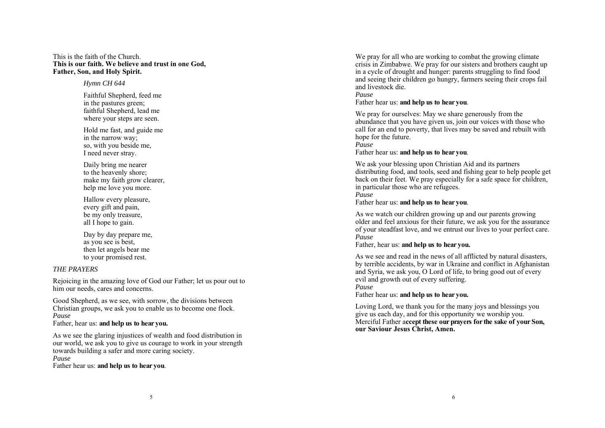### This is the faith of the Church. **This is our faith. We believe and trust in one God, Father, Son, and Holy Spirit.**

### *Hymn CH 644*

Faithful Shepherd, feed me in the pastures green; faithful Shepherd, lead me where your steps are seen.

Hold me fast, and guide me in the narrow way; so, with you beside me, I need never stray.

Daily bring me nearer to the heavenly shore; make my faith grow clearer, help me love you more.

Hallow every pleasure, every gift and pain, be my only treasure, all I hope to gain.

Day by day prepare me, as you see is best, then let angels bear me to your promised rest.

## *THE PRAYERS*

Rejoicing in the amazing love of God our Father; let us pour out to him our needs, cares and concerns.

Good Shepherd, as we see, with sorrow, the divisions between Christian groups, we ask you to enable us to become one flock. *Pause* 

Father, hear us: **and help us to hear you.** 

As we see the glaring injustices of wealth and food distribution in our world, we ask you to give us courage to work in your strength towards building a safer and more caring society.

*Pause* 

Father hear us: **and help us to hear you**.

We pray for all who are working to combat the growing climate crisis in Zimbabwe. We pray for our sisters and brothers caught up in a cycle of drought and hunger: parents struggling to find food and seeing their children go hungry, farmers seeing their crops fail and livestock die.

*Pause* 

Father hear us: **and help us to hear you**.

We pray for ourselves: May we share generously from the abundance that you have given us, join our voices with those who call for an end to poverty, that lives may be saved and rebuilt with hope for the future.

*Pause* 

Father hear us: **and help us to hear you**.

We ask your blessing upon Christian Aid and its partners distributing food, and tools, seed and fishing gear to help people get back on their feet. We pray especially for a safe space for children, in particular those who are refugees.

*Pause* 

Father hear us: **and help us to hear you**.

As we watch our children growing up and our parents growing older and feel anxious for their future, we ask you for the assurance of your steadfast love, and we entrust our lives to your perfect care. *Pause* 

Father, hear us: **and help us to hear you.** 

As we see and read in the news of all afflicted by natural disasters, by terrible accidents, by war in Ukraine and conflict in Afghanistan and Syria, we ask you, O Lord of life, to bring good out of every evil and growth out of every suffering.

*Pause* 

Father hear us: **and help us to hear you.**

Loving Lord, we thank you for the many joys and blessings you give us each day, and for this opportunity we worship you. Merciful Father a**ccept these our prayers for the sake of your Son, our Saviour Jesus Christ, Amen.**